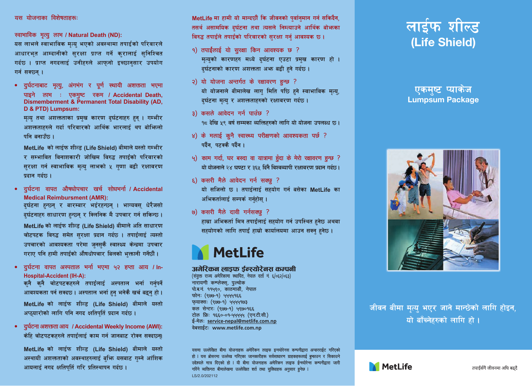#### यस योजनाका विशेषताहरू

स्वाभाविक मृत्यु लाभ / Natural Death (ND):

यस लाभले स्वाभाविक मत्य भएको अवस्थामा तपाईको परिवारले .<br>आधारभत आम्दानीको सरक्षा पाप्त गर्ने करालाई सनिश्चित गर्दछ । पाप्त नगदलाई उनीहरुले आफनो इच्छानसार उपयोग गर्न सक्छन ।

• दर्घटनाबाट मत्य अंगभंग र पर्ण स्थायी अ<del>णक</del>ता भएमा पाइने लाभ : एकमष्ट रकम / Accidental Death. Dismemberment & Permanent Total Disability (AD. D.& PTD) Lumnsum:

मत्य तथा अशक्तताका प्रमुख कारण दर्घटनाहरु हुन । गम्भीर अशक्तताहरूले गर्दा परिवारको आर्थिक भारलाई थप बोभिन्लो पनि बनाउँक $\pm$ 

MetLife को लाईफ शील्ड (Life Shield) बीमाले यस्तो गम्भीर र सम्भावित विनाशकारी जोखिम विरुद्<mark>ध तपाइ</mark>ंको परिवारको सरक्षा गर्न स्वाभाविक मत्य लाभको ५ गणा बढी रक्षावरण  $\frac{1}{10000}$   $\frac{1}{10000}$ 

• दर्घटना वापत औषधोपचार खर्च सोधभर्ना / Accidental **Medical Reimbursment (AMR):** 

दर्घटना हत्कन र बारम्बार भईरहत्कन । भाग्यवस धेरैजसो ्<br>दर्घटनाहरु साधारण हुन्छन् र क्लिनिक मै उपचार गर्न सकिन्छ ।

MetLife को लाईफ शील्ड (Life Shield) बीमाले अति साधारण चोटपटक विरुद्ध समेत सरक्षा प्रदान गर्दछ । तपार्दलार्द त्यस्तो उपचारको आवश्यकता परेमा जनसकै स्वास्थ्य केन्द्रमा उपचार गराए पनि हामी तपाईको औषधोपचार बिलको भक्तानी गर्नेछौ ।

• दर्घटना वापत अस्पताल भर्ना भएमा ५२ हप्ता आय / In-**Hospital-Accident (IH-A):** 

कनै कनै चोटपटकहरुले तपाइलाइ अस्पताल भर्ना गर्नपर्ने आवश्यकता पर्न सक्दछ। अस्पताल भर्ना हुनु भनेकै खर्च बद्धनु हो। MetLife को लाईफ शील्ड (Life Shield) बीमाले यस्तो अप्ठयारोको लागि पनि नगद क्षतिपतिं प्रदान गर्दछ।

• दर्घटना अशक्तता आय / Accidental Weekly Income (AWI): केहि चोटपटकहरुले तपाईलाई काम गर्न जानबाट रोक्न सक्टछना

MetLife को लाईफ शील्ड (Life Shield) बीमाले यस्तो अस्थायी अशक्तताको अवस्थाहरुलाई बभि यसबाट गम्ने आंशिक आयलाई नगद क्षतिपतिं गरि प्रतिस्थापन गर्दछ।

MetLife मा हामी यो मान्दछौं कि जीवनको पर्वानमान गर्न सकिदैन. तसर्थ असामयिक दर्घटना तथा त्यसले निम्त्याउने आर्थिक बोभन्का विरुद्ध तपादले तपादको परिवारको सरक्षा गर्न आवश्यक छ।

- $9)$  तपाईँलाई यो सरक्षा किन आवश्यक छ ? मत्यको कारणहरु मध्ये दर्घटना एउटा प्रमख कारण हो । दर्घटनाको कारण अशक्तता अफ्र बढी हने गर्दछ।
- २) यो योजना अन्तर्गत के रक्षावरण हुन्छ ? यो योजनाले बीमालेख लाग मिति पछि हने स्वाभाविक मत्य. दर्घटना मत्य र अशक्तताहरुको रक्षावरण गर्दछ।
- $3)$  कसले आवेदन गर्न पाउँछ ? १८ देखि ५९ वर्ष सम्मका व्यक्तिहरुको लागि यो योजना उपलब्ध छ।
- $x$ ) के मलाई कनै स्वास्थ्य परीक्षणको आवश्यकता पर्छ ? पर्दैन, पटक्कै पर्दैन ।
- ५) काम गर्दा, घर बस्दा वा यात्रामा हैदा के मेरो रक्षावरण हुन्छ ? यो योजनाले २४ घण्टा र ३६५ दिनै विश्वव्यापी रक्षावरण प्रदान गर्दछ।
- $\epsilon$ ) कसरी मैले आवेदन गर्न सक्छ ? यो सजिलो छ। तपाईलाई सहयोग गर्न बसेका MetLife का अभिकर्तालाई सम्पर्क गर्नहोस ।
- ७) कसरी मैले दावी गर्नसक्छ ?

हामा अभिकर्ता मित्र तपार्दलार्द सहयोग गर्न उपस्थित हमेक अथवा सहयोगको लागि तपाई हाम्रो कार्यालयमा आउन सक्न हनेछ।

# **MetLife**

#### अमेरिकन लाडफ र्डन्स्गोरेनस कमानी

(संयक्त राज्य अमेरिकामा स्थापित नेपाल दर्ता नं E/oE2/oE3) नारायणी कम्प्लेक्स. पल्चोक पोडने १९७९० काठमाडौँ नेपाल फोनः (९७७-१) ५५५५१६६ फयाक्सः (९७७-१) पपपपाण3  $\overline{am}$   $\overline{arm}$  ( $\overline{quq}$ -q)  $\overline{u}$  $\overline{quq}$ sss टोल फि: १६६०-०१-५५५५५ (एनटीसी) ई-मेलः service-nepal@metlife.com.np वेबसाईट: www.metlife.com.np

यसमा उल्लेखित बीमा योजनाइरू अमेरिकन लाइफ इन्स्योरेनस कम्पनीद्रारा अन्डरराईट गरिएको हो । यस ब्रोसरमा उल्लेख गरिएका जानकारीहरू सर्वसाधारण ग्राहकहरूलाई बुकाउन र सिकाउने .<br>स्टेश्यले मात्र दिएको हो । यी बीमा योजनाहरू अमेरिकन लाइफ ईन्स्योरेन्स कम्पनीदारा जारी गरिने व्यक्तिगत बीमालेखमा सल्लेखित शर्त तथा सविधाहरू अनसार हुनेछ । LS/2.0/202112

## लार्डफ शील्ड (Life Shield)

#### एकमध्य प्याकेज Lumpsum Package



जीवन बीमा मत्य भएर जाने मान्छेको लागि होइन. यो बाँच्नेहरुको लागि हो।